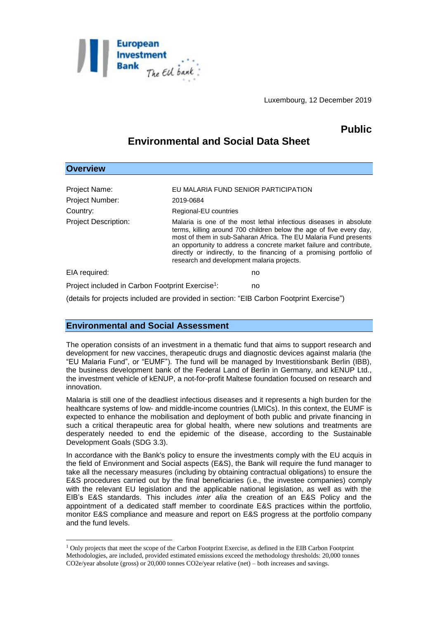

Luxembourg, 12 December 2019

## **Public**

## **Environmental and Social Data Sheet**

| <b>Overview</b>                                              |                                                                                                                                                                                                                                                                                                                                                                                                           |
|--------------------------------------------------------------|-----------------------------------------------------------------------------------------------------------------------------------------------------------------------------------------------------------------------------------------------------------------------------------------------------------------------------------------------------------------------------------------------------------|
|                                                              |                                                                                                                                                                                                                                                                                                                                                                                                           |
| Project Name:                                                | EU MALARIA FUND SENIOR PARTICIPATION                                                                                                                                                                                                                                                                                                                                                                      |
| <b>Project Number:</b>                                       | 2019-0684                                                                                                                                                                                                                                                                                                                                                                                                 |
| Country:                                                     | Regional-EU countries                                                                                                                                                                                                                                                                                                                                                                                     |
| <b>Project Description:</b>                                  | Malaria is one of the most lethal infectious diseases in absolute<br>terms, killing around 700 children below the age of five every day,<br>most of them in sub-Saharan Africa. The EU Malaria Fund presents<br>an opportunity to address a concrete market failure and contribute.<br>directly or indirectly, to the financing of a promising portfolio of<br>research and development malaria projects. |
| EIA required:                                                | no                                                                                                                                                                                                                                                                                                                                                                                                        |
| Project included in Carbon Footprint Exercise <sup>1</sup> : | no                                                                                                                                                                                                                                                                                                                                                                                                        |
|                                                              | (details for projects included are provided in section: "EIB Carbon Footprint Exercise")                                                                                                                                                                                                                                                                                                                  |

## **Environmental and Social Assessment**

1

The operation consists of an investment in a thematic fund that aims to support research and development for new vaccines, therapeutic drugs and diagnostic devices against malaria (the "EU Malaria Fund", or "EUMF"). The fund will be managed by Investitionsbank Berlin (IBB), the business development bank of the Federal Land of Berlin in Germany, and kENUP Ltd., the investment vehicle of kENUP, a not-for-profit Maltese foundation focused on research and innovation.

Malaria is still one of the deadliest infectious diseases and it represents a high burden for the healthcare systems of low- and middle-income countries (LMICs). In this context, the EUMF is expected to enhance the mobilisation and deployment of both public and private financing in such a critical therapeutic area for global health, where new solutions and treatments are desperately needed to end the epidemic of the disease, according to the Sustainable Development Goals (SDG 3.3).

In accordance with the Bank's policy to ensure the investments comply with the EU acquis in the field of Environment and Social aspects (E&S), the Bank will require the fund manager to take all the necessary measures (including by obtaining contractual obligations) to ensure the E&S procedures carried out by the final beneficiaries (i.e., the investee companies) comply with the relevant EU legislation and the applicable national legislation, as well as with the EIB's E&S standards. This includes *inter alia* the creation of an E&S Policy and the appointment of a dedicated staff member to coordinate E&S practices within the portfolio, monitor E&S compliance and measure and report on E&S progress at the portfolio company and the fund levels.

<sup>1</sup> Only projects that meet the scope of the Carbon Footprint Exercise, as defined in the EIB Carbon Footprint Methodologies, are included, provided estimated emissions exceed the methodology thresholds: 20,000 tonnes CO2e/year absolute (gross) or 20,000 tonnes CO2e/year relative (net) – both increases and savings.